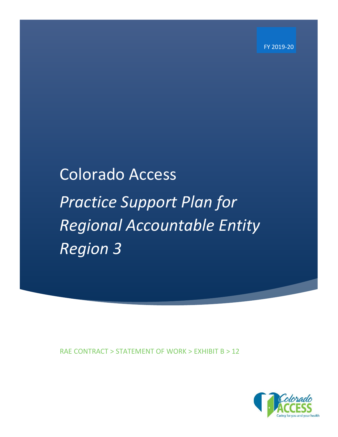FY 2019-20

# Colorado Access *Practice Support Plan for Regional Accountable Entity Region 3*

RAE CONTRACT > STATEMENT OF WORK > EXHIBIT B > 12

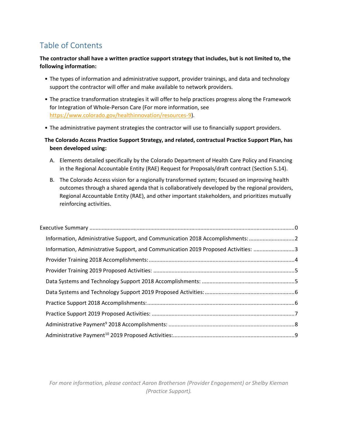# Table of Contents

#### **The contractor shall have a written practice support strategy that includes, but is not limited to, the following information:**

- The types of information and administrative support, provider trainings, and data and technology support the contractor will offer and make available to network providers.
- The practice transformation strategies it will offer to help practices progress along the Framework for Integration of Whole-Person Care (For more information, see [https://www.colorado.gov/healthinnovation/resources-9\)](https://www.colorado.gov/healthinnovation/resources-9).
- The administrative payment strategies the contractor will use to financially support providers.

#### **The Colorado Access Practice Support Strategy, and related, contractual Practice Support Plan, has been developed using:**

- A. Elements detailed specifically by the Colorado Department of Health Care Policy and Financing in the Regional Accountable Entity (RAE) Request for Proposals/draft contract (Section 5.14).
- B. The Colorado Access vision for a regionally transformed system; focused on improving health outcomes through a shared agenda that is collaboratively developed by the regional providers, Regional Accountable Entity (RAE), and other important stakeholders, and prioritizes mutually reinforcing activities.

|  | Information, Administrative Support, and Communication 2018 Accomplishments: 2     |  |
|--|------------------------------------------------------------------------------------|--|
|  | Information, Administrative Support, and Communication 2019 Proposed Activities: 3 |  |
|  |                                                                                    |  |
|  |                                                                                    |  |
|  |                                                                                    |  |
|  |                                                                                    |  |
|  |                                                                                    |  |
|  |                                                                                    |  |
|  |                                                                                    |  |
|  |                                                                                    |  |

*For more information, please contact Aaron Brotherson (Provider Engagement) or Shelby Kiernan (Practice Support).*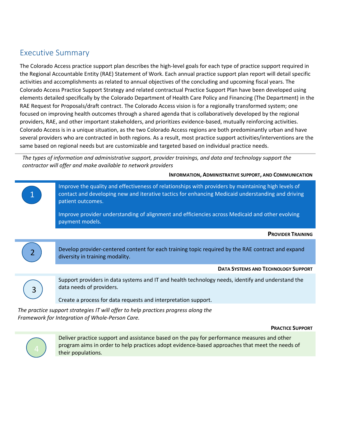## <span id="page-2-0"></span>Executive Summary

The Colorado Access practice support plan describes the high-level goals for each type of practice support required in the Regional Accountable Entity (RAE) Statement of Work. Each annual practice support plan report will detail specific activities and accomplishments as related to annual objectives of the concluding and upcoming fiscal years. The Colorado Access Practice Support Strategy and related contractual Practice Support Plan have been developed using elements detailed specifically by the Colorado Department of Health Care Policy and Financing (The Department) in the RAE Request for Proposals/draft contract. The Colorado Access vision is for a regionally transformed system; one focused on improving health outcomes through a shared agenda that is collaboratively developed by the regional providers, RAE, and other important stakeholders, and prioritizes evidence-based, mutually reinforcing activities. Colorado Access is in a unique situation, as the two Colorado Access regions are both predominantly urban and have several providers who are contracted in both regions. As a result, most practice support activities/interventions are the same based on regional needs but are customizable and targeted based on individual practice needs.

*The types of information and administrative support, provider trainings, and data and technology support the contractor will offer and make available to network providers*

#### • **INFORMATION, ADMINISTRATIVE SUPPORT, AND COMMUNICATION**

|                | Improve the quality and effectiveness of relationships with providers by maintaining high levels of<br>contact and developing new and iterative tactics for enhancing Medicaid understanding and driving<br>patient outcomes. |
|----------------|-------------------------------------------------------------------------------------------------------------------------------------------------------------------------------------------------------------------------------|
|                | Improve provider understanding of alignment and efficiencies across Medicaid and other evolving<br>payment models.                                                                                                            |
|                | <b>PROVIDER TRAINING</b>                                                                                                                                                                                                      |
| $\overline{2}$ | Develop provider-centered content for each training topic required by the RAE contract and expand<br>diversity in training modality.                                                                                          |
|                | <b>DATA SYSTEMS AND TECHNOLOGY SUPPORT</b>                                                                                                                                                                                    |
|                | Support providers in data systems and IT and health technology needs, identify and understand the<br>data needs of providers.                                                                                                 |
|                | Create a process for data requests and interpretation support.                                                                                                                                                                |
|                | The practice support strategies IT will offer to help practices progress along the                                                                                                                                            |

*Framework for Integration of Whole-Person Care.*

#### **PRACTICE SUPPORT**



Deliver practice support and assistance based on the pay for performance measures and other program aims in order to help practices adopt evidence-based approaches that meet the needs of their populations*.*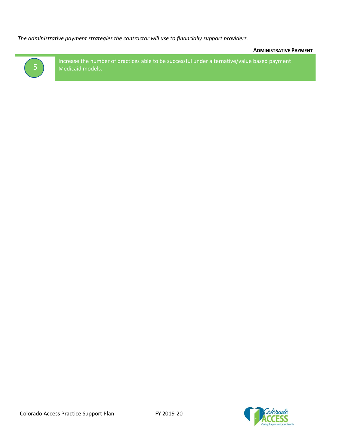*The administrative payment strategies the contractor will use to financially support providers.*

**ADMINISTRATIVE PAYMENT**



Increase the number of practices able to be successful under alternative/value based payment 5 Medicaid models.

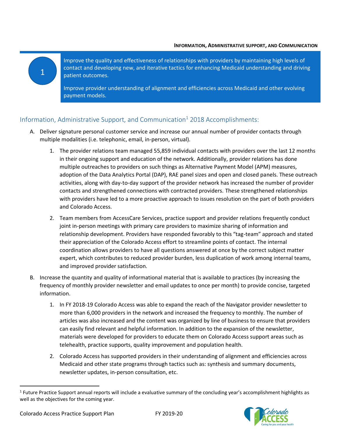#### • **INFORMATION, ADMINISTRATIVE SUPPORT, AND COMMUNICATION**

Improve the quality and effectiveness of relationships with providers by maintaining high levels of contact and developing new, and iterative tactics for enhancing Medicaid understanding and driving patient outcomes.

Improve provider understanding of alignment and efficiencies across Medicaid and other evolving payment models.

#### <span id="page-4-0"></span>Information, Administrative Support, and Communication<sup>1</sup> 2018 Accomplishments:

- A. Deliver signature personal customer service and increase our annual number of provider contacts through multiple modalities (i.e. telephonic, email, in-person, virtual).
	- 1. The provider relations team managed 55,859 individual contacts with providers over the last 12 months in their ongoing support and education of the network. Additionally, provider relations has done multiple outreaches to providers on such things as Alternative Payment Model (APM) measures, adoption of the Data Analytics Portal (DAP), RAE panel sizes and open and closed panels. These outreach activities, along with day-to-day support of the provider network has increased the number of provider contacts and strengthened connections with contracted providers. These strengthened relationships with providers have led to a more proactive approach to issues resolution on the part of both providers and Colorado Access.
	- 2. Team members from AccessCare Services, practice support and provider relations frequently conduct joint in-person meetings with primary care providers to maximize sharing of information and relationship development. Providers have responded favorably to this "tag-team" approach and stated their appreciation of the Colorado Access effort to streamline points of contact. The internal coordination allows providers to have all questions answered at once by the correct subject matter expert, which contributes to reduced provider burden, less duplication of work among internal teams, and improved provider satisfaction.
- B. Increase the quantity and quality of informational material that is available to practices (by increasing the frequency of monthly provider newsletter and email updates to once per month) to provide concise, targeted information.
	- 1. In FY 2018-19 Colorado Access was able to expand the reach of the Navigator provider newsletter to more than 6,000 providers in the network and increased the frequency to monthly. The number of articles was also increased and the content was organized by line of business to ensure that providers can easily find relevant and helpful information. In addition to the expansion of the newsletter, materials were developed for providers to educate them on Colorado Access support areas such as telehealth, practice supports, quality improvement and population health.
	- 2. Colorado Access has supported providers in their understanding of alignment and efficiencies across Medicaid and other state programs through tactics such as: synthesis and summary documents, newsletter updates, in-person consultation, etc.

<sup>&</sup>lt;sup>1</sup> Future Practice Support annual reports will include a evaluative summary of the concluding year's accomplishment highlights as well as the objectives for the coming year.



1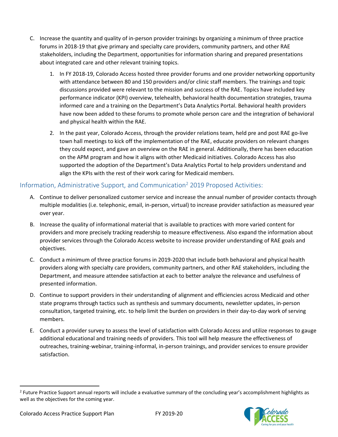- C. Increase the quantity and quality of in-person provider trainings by organizing a minimum of three practice forums in 2018-19 that give primary and specialty care providers, community partners, and other RAE stakeholders, including the Department, opportunities for information sharing and prepared presentations about integrated care and other relevant training topics.
	- 1. In FY 2018-19, Colorado Access hosted three provider forums and one provider networking opportunity with attendance between 80 and 150 providers and/or clinic staff members. The trainings and topic discussions provided were relevant to the mission and success of the RAE. Topics have included key performance indicator (KPI) overview, telehealth, behavioral health documentation strategies, trauma informed care and a training on the Department's Data Analytics Portal. Behavioral health providers have now been added to these forums to promote whole person care and the integration of behavioral and physical health within the RAE.
	- 2. In the past year, Colorado Access, through the provider relations team, held pre and post RAE go-live town hall meetings to kick off the implementation of the RAE, educate providers on relevant changes they could expect, and gave an overview on the RAE in general. Additionally, there has been education on the APM program and how it aligns with other Medicaid initiatives. Colorado Access has also supported the adoption of the Department's Data Analytics Portal to help providers understand and align the KPIs with the rest of their work caring for Medicaid members.

## <span id="page-5-0"></span>Information, Administrative Support, and Communication<sup>2</sup> 2019 Proposed Activities:

- A. Continue to deliver personalized customer service and increase the annual number of provider contacts through multiple modalities (i.e. telephonic, email, in-person, virtual) to increase provider satisfaction as measured year over year.
- B. Increase the quality of informational material that is available to practices with more varied content for providers and more precisely tracking readership to measure effectiveness. Also expand the information about provider services through the Colorado Access website to increase provider understanding of RAE goals and objectives.
- C. Conduct a minimum of three practice forums in 2019-2020 that include both behavioral and physical health providers along with specialty care providers, community partners, and other RAE stakeholders, including the Department, and measure attendee satisfaction at each to better analyze the relevance and usefulness of presented information.
- D. Continue to support providers in their understanding of alignment and efficiencies across Medicaid and other state programs through tactics such as synthesis and summary documents, newsletter updates, in-person consultation, targeted training, etc. to help limit the burden on providers in their day-to-day work of serving members.
- E. Conduct a provider survey to assess the level of satisfaction with Colorado Access and utilize responses to gauge additional educational and training needs of providers. This tool will help measure the effectiveness of outreaches, training-webinar, training-informal, in-person trainings, and provider services to ensure provider satisfaction.

<sup>&</sup>lt;sup>2</sup> Future Practice Support annual reports will include a evaluative summary of the concluding year's accomplishment highlights as well as the objectives for the coming year.

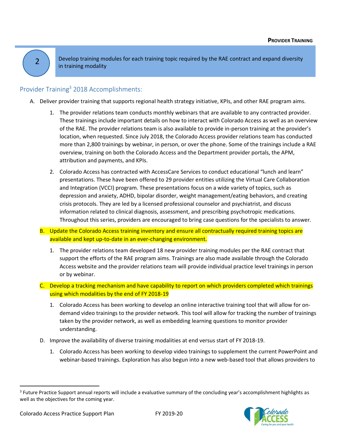2

Develop training modules for each training topic required by the RAE contract and expand diversity in training modality

## <span id="page-6-0"></span>Provider Training<sup>3</sup> 2018 Accomplishments:

- A. Deliver provider training that supports regional health strategy initiative, KPIs, and other RAE program aims.
	- 1. The provider relations team conducts monthly webinars that are available to any contracted provider. These trainings include important details on how to interact with Colorado Access as well as an overview of the RAE. The provider relations team is also available to provide in-person training at the provider's location, when requested. Since July 2018, the Colorado Access provider relations team has conducted more than 2,800 trainings by webinar, in person, or over the phone. Some of the trainings include a RAE overview, training on both the Colorado Access and the Department provider portals, the APM, attribution and payments, and KPIs.
	- 2. Colorado Access has contracted with AccessCare Services to conduct educational "lunch and learn" presentations. These have been offered to 29 provider entities utilizing the Virtual Care Collaboration and Integration (VCCI) program. These presentations focus on a wide variety of topics, such as depression and anxiety, ADHD, bipolar disorder, weight management/eating behaviors, and creating crisis protocols. They are led by a licensed professional counselor and psychiatrist, and discuss information related to clinical diagnosis, assessment, and prescribing psychotropic medications. Throughout this series, providers are encouraged to bring case questions for the specialists to answer.
	- B. Update the Colorado Access training inventory and ensure all contractually required training topics are available and kept up-to-date in an ever-changing environment.
		- 1. The provider relations team developed 18 new provider training modules per the RAE contract that support the efforts of the RAE program aims. Trainings are also made available through the Colorado Access website and the provider relations team will provide individual practice level trainings in person or by webinar.
	- C. Develop a tracking mechanism and have capability to report on which providers completed which trainings using which modalities by the end of FY 2018-19
		- 1. Colorado Access has been working to develop an online interactive training tool that will allow for ondemand video trainings to the provider network. This tool will allow for tracking the number of trainings taken by the provider network, as well as embedding learning questions to monitor provider understanding.
	- D. Improve the availability of diverse training modalities at end versus start of FY 2018-19.
		- 1. Colorado Access has been working to develop video trainings to supplement the current PowerPoint and webinar-based trainings. Exploration has also begun into a new web-based tool that allows providers to

<sup>&</sup>lt;sup>3</sup> Future Practice Support annual reports will include a evaluative summary of the concluding year's accomplishment highlights as well as the objectives for the coming year.

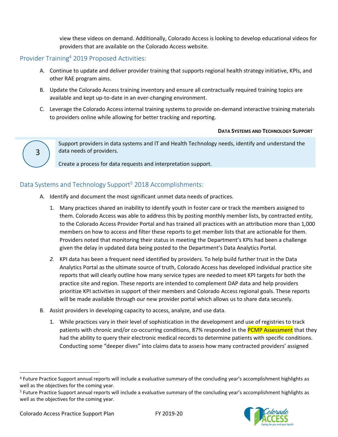view these videos on demand. Additionally, Colorado Access is looking to develop educational videos for providers that are available on the Colorado Access website.

#### <span id="page-7-0"></span>Provider Training<sup>4</sup> 2019 Proposed Activities:

- A. Continue to update and deliver provider training that supports regional health strategy initiative, KPIs, and other RAE program aims.
- B. Update the Colorado Access training inventory and ensure all contractually required training topics are available and kept up-to-date in an ever-changing environment.
- C. Leverage the Colorado Access internal training systems to provide on-demand interactive training materials to providers online while allowing for better tracking and reporting.

#### **DATA SYSTEMS AND TECHNOLOGY SUPPORT**

3

Support providers in data systems and IT and Health Technology needs, identify and understand the data needs of providers.

Create a process for data requests and interpretation support.

#### <span id="page-7-1"></span>Data Systems and Technology Support<sup>5</sup> 2018 Accomplishments:

- A. Identify and document the most significant unmet data needs of practices.
	- 1. Many practices shared an inability to identify youth in foster care or track the members assigned to them. Colorado Access was able to address this by posting monthly member lists, by contracted entity, to the Colorado Access Provider Portal and has trained all practices with an attribution more than 1,000 members on how to access and filter these reports to get member lists that are actionable for them. Providers noted that monitoring their status in meeting the Department's KPIs had been a challenge given the delay in updated data being posted to the Department's Data Analytics Portal.
	- *2.* KPI data has been a frequent need identified by providers. To help build further trust in the Data Analytics Portal as the ultimate source of truth, Colorado Access has developed individual practice site reports that will clearly outline how many service types are needed to meet KPI targets for both the practice site and region. These reports are intended to complement DAP data and help providers prioritize KPI activities in support of their members and Colorado Access regional goals. These reports will be made available through our new provider portal which allows us to share data securely.
- B. Assist providers in developing capacity to access, analyze, and use data.
	- 1. While practices vary in their level of sophistication in the development and use of registries to track patients with chronic and/or co-occurring conditions, 87% responded in the **PCMP Assessment** that they had the ability to query their electronic medical records to determine patients with specific conditions. Conducting some "deeper dives" into claims data to assess how many contracted providers' assigned

<sup>&</sup>lt;sup>5</sup> Future Practice Support annual reports will include a evaluative summary of the concluding year's accomplishment highlights as well as the objectives for the coming year.



<sup>4</sup> Future Practice Support annual reports will include a evaluative summary of the concluding year's accomplishment highlights as well as the objectives for the coming year.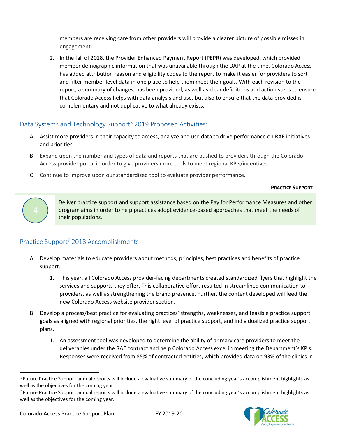members are receiving care from other providers will provide a clearer picture of possible misses in engagement.

2. In the fall of 2018, the Provider Enhanced Payment Report (PEPR) was developed, which provided member demographic information that was unavailable through the DAP at the time. Colorado Access has added attribution reason and eligibility codes to the report to make it easier for providers to sort and filter member level data in one place to help them meet their goals. With each revision to the report, a summary of changes, has been provided, as well as clear definitions and action steps to ensure that Colorado Access helps with data analysis and use, but also to ensure that the data provided is complementary and not duplicative to what already exists.

## <span id="page-8-0"></span>Data Systems and Technology Support<sup>6</sup> 2019 Proposed Activities:

- A. Assist more providers in their capacity to access, analyze and use data to drive performance on RAE initiatives and priorities.
- B. Expand upon the number and types of data and reports that are pushed to providers through the Colorado Access provider portal in order to give providers more tools to meet regional KPIs/incentives.
- C. Continue to improve upon our standardized tool to evaluate provider performance.

#### **PRACTICE SUPPORT**



Deliver practice support and support assistance based on the Pay for Performance Measures and other program aims in order to help practices adopt evidence-based approaches that meet the needs of their populations*.*

## <span id="page-8-1"></span>Practice Support<sup>7</sup> 2018 Accomplishments:

- A. Develop materials to educate providers about methods, principles, best practices and benefits of practice support.
	- 1. This year, all Colorado Access provider-facing departments created standardized flyers that highlight the services and supports they offer. This collaborative effort resulted in streamlined communication to providers, as well as strengthening the brand presence. Further, the content developed will feed the new Colorado Access website provider section.
- B. Develop a process/best practice for evaluating practices' strengths, weaknesses, and feasible practice support goals as aligned with regional priorities, the right level of practice support, and individualized practice support plans.
	- 1. An assessment tool was developed to determine the ability of primary care providers to meet the deliverables under the RAE contract and help Colorado Access excel in meeting the Department's KPIs. Responses were received from 85% of contracted entities, which provided data on 93% of the clinics in

<sup>&</sup>lt;sup>7</sup> Future Practice Support annual reports will include a evaluative summary of the concluding year's accomplishment highlights as well as the objectives for the coming year.



<sup>&</sup>lt;sup>6</sup> Future Practice Support annual reports will include a evaluative summary of the concluding year's accomplishment highlights as well as the objectives for the coming year.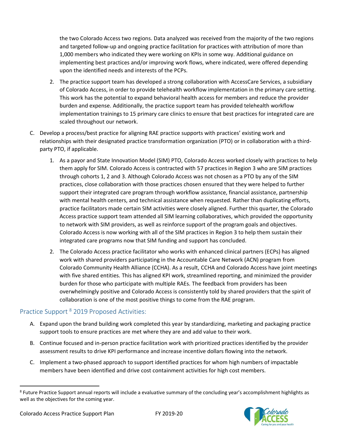the two Colorado Access two regions. Data analyzed was received from the majority of the two regions and targeted follow-up and ongoing practice facilitation for practices with attribution of more than 1,000 members who indicated they were working on KPIs in some way. Additional guidance on implementing best practices and/or improving work flows, where indicated, were offered depending upon the identified needs and interests of the PCPs.

- 2. The practice support team has developed a strong collaboration with AccessCare Services, a subsidiary of Colorado Access, in order to provide telehealth workflow implementation in the primary care setting. This work has the potential to expand behavioral health access for members and reduce the provider burden and expense. Additionally, the practice support team has provided telehealth workflow implementation trainings to 15 primary care clinics to ensure that best practices for integrated care are scaled throughout our network.
- C. Develop a process/best practice for aligning RAE practice supports with practices' existing work and relationships with their designated practice transformation organization (PTO) or in collaboration with a thirdparty PTO, if applicable.
	- 1. As a payor and State Innovation Model (SIM) PTO, Colorado Access worked closely with practices to help them apply for SIM. Colorado Access is contracted with 57 practices in Region 3 who are SIM practices through cohorts 1, 2 and 3. Although Colorado Access was not chosen as a PTO by any of the SIM practices, close collaboration with those practices chosen ensured that they were helped to further support their integrated care program through workflow assistance, financial assistance, partnership with mental health centers, and technical assistance when requested. Rather than duplicating efforts, practice facilitators made certain SIM activities were closely aligned. Further this quarter, the Colorado Access practice support team attended all SIM learning collaboratives, which provided the opportunity to network with SIM providers, as well as reinforce support of the program goals and objectives. Colorado Access is now working with all of the SIM practices in Region 3 to help them sustain their integrated care programs now that SIM funding and support has concluded.
	- 2. The Colorado Access practice facilitator who works with enhanced clinical partners (ECPs) has aligned work with shared providers participating in the Accountable Care Network (ACN) program from Colorado Community Health Alliance (CCHA). As a result, CCHA and Colorado Access have joint meetings with five shared entities. This has aligned KPI work, streamlined reporting, and minimized the provider burden for those who participate with multiple RAEs. The feedback from providers has been overwhelmingly positive and Colorado Access is consistently told by shared providers that the spirit of collaboration is one of the most positive things to come from the RAE program.

#### <span id="page-9-0"></span>Practice Support<sup>8</sup> 2019 Proposed Activities:

- A. Expand upon the brand building work completed this year by standardizing, marketing and packaging practice support tools to ensure practices are met where they are and add value to their work.
- B. Continue focused and in-person practice facilitation work with prioritized practices identified by the provider assessment results to drive KPI performance and increase incentive dollars flowing into the network.
- C. Implement a two-phased approach to support identified practices for whom high numbers of impactable members have been identified and drive cost containment activities for high cost members.

<sup>&</sup>lt;sup>8</sup> Future Practice Support annual reports will include a evaluative summary of the concluding year's accomplishment highlights as well as the objectives for the coming year.

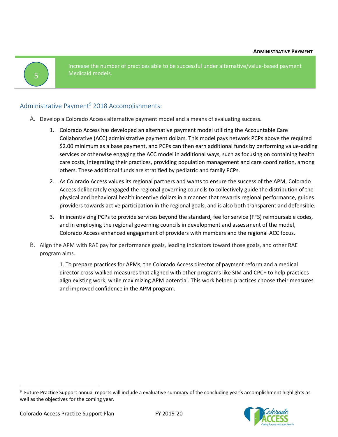5

Increase the number of practices able to be successful under alternative/value-based payment Medicaid models.

## <span id="page-10-0"></span>Administrative Payment<sup>9</sup> 2018 Accomplishments:

- A. Develop a Colorado Access alternative payment model and a means of evaluating success.
	- 1. Colorado Access has developed an alternative payment model utilizing the Accountable Care Collaborative (ACC) administrative payment dollars. This model pays network PCPs above the required \$2.00 minimum as a base payment, and PCPs can then earn additional funds by performing value-adding services or otherwise engaging the ACC model in additional ways, such as focusing on containing health care costs, integrating their practices, providing population management and care coordination, among others. These additional funds are stratified by pediatric and family PCPs.
	- 2. As Colorado Access values its regional partners and wants to ensure the success of the APM, Colorado Access deliberately engaged the regional governing councils to collectively guide the distribution of the physical and behavioral health incentive dollars in a manner that rewards regional performance, guides providers towards active participation in the regional goals, and is also both transparent and defensible.
	- 3. In incentivizing PCPs to provide services beyond the standard, fee for service (FFS) reimbursable codes, and in employing the regional governing councils in development and assessment of the model, Colorado Access enhanced engagement of providers with members and the regional ACC focus.
- B. Align the APM with RAE pay for performance goals, leading indicators toward those goals, and other RAE program aims.

1. To prepare practices for APMs, the Colorado Access director of payment reform and a medical director cross-walked measures that aligned with other programs like SIM and CPC+ to help practices align existing work, while maximizing APM potential. This work helped practices choose their measures and improved confidence in the APM program.

<sup>9</sup> Future Practice Support annual reports will include a evaluative summary of the concluding year's accomplishment highlights as well as the objectives for the coming year.